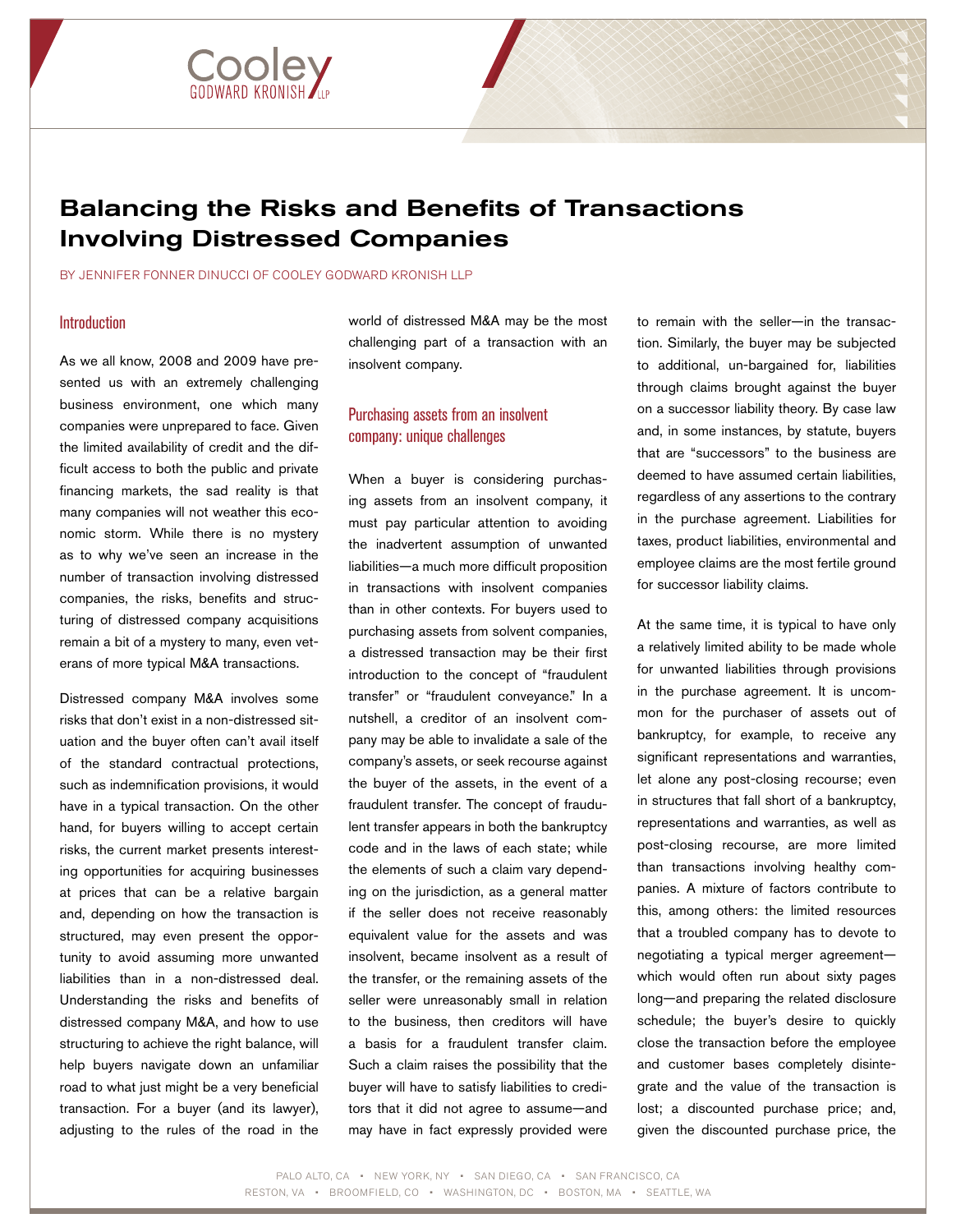

# Balancing the Risks and Benefits of Transactions Involving Distressed Companies

BY JENNIFER FONNER DINUCCI OF COOLEY GODWARD KRONISH LLP

### **Introduction**

As we all know, 2008 and 2009 have presented us with an extremely challenging business environment, one which many companies were unprepared to face. Given the limited availability of credit and the difficult access to both the public and private financing markets, the sad reality is that many companies will not weather this economic storm. While there is no mystery as to why we've seen an increase in the number of transaction involving distressed companies, the risks, benefits and structuring of distressed company acquisitions remain a bit of a mystery to many, even veterans of more typical M&A transactions.

Distressed company M&A involves some risks that don't exist in a non-distressed situation and the buyer often can't avail itself of the standard contractual protections, such as indemnification provisions, it would have in a typical transaction. On the other hand, for buyers willing to accept certain risks, the current market presents interesting opportunities for acquiring businesses at prices that can be a relative bargain and, depending on how the transaction is structured, may even present the opportunity to avoid assuming more unwanted liabilities than in a non-distressed deal. Understanding the risks and benefits of distressed company M&A, and how to use structuring to achieve the right balance, will help buyers navigate down an unfamiliar road to what just might be a very beneficial transaction. For a buyer (and its lawyer), adjusting to the rules of the road in the

world of distressed M&A may be the most challenging part of a transaction with an insolvent company.

# Purchasing assets from an insolvent company: unique challenges

When a buyer is considering purchasing assets from an insolvent company, it must pay particular attention to avoiding the inadvertent assumption of unwanted liabilities—a much more difficult proposition in transactions with insolvent companies than in other contexts. For buyers used to purchasing assets from solvent companies, a distressed transaction may be their first introduction to the concept of "fraudulent transfer" or "fraudulent conveyance." In a nutshell, a creditor of an insolvent company may be able to invalidate a sale of the company's assets, or seek recourse against the buyer of the assets, in the event of a fraudulent transfer. The concept of fraudulent transfer appears in both the bankruptcy code and in the laws of each state; while the elements of such a claim vary depending on the jurisdiction, as a general matter if the seller does not receive reasonably equivalent value for the assets and was insolvent, became insolvent as a result of the transfer, or the remaining assets of the seller were unreasonably small in relation to the business, then creditors will have a basis for a fraudulent transfer claim. Such a claim raises the possibility that the buyer will have to satisfy liabilities to creditors that it did not agree to assume—and may have in fact expressly provided were

to remain with the seller—in the transaction. Similarly, the buyer may be subjected to additional, un-bargained for, liabilities through claims brought against the buyer on a successor liability theory. By case law and, in some instances, by statute, buyers that are "successors" to the business are deemed to have assumed certain liabilities, regardless of any assertions to the contrary in the purchase agreement. Liabilities for taxes, product liabilities, environmental and employee claims are the most fertile ground for successor liability claims.

At the same time, it is typical to have only a relatively limited ability to be made whole for unwanted liabilities through provisions in the purchase agreement. It is uncommon for the purchaser of assets out of bankruptcy, for example, to receive any significant representations and warranties, let alone any post-closing recourse; even in structures that fall short of a bankruptcy, representations and warranties, as well as post-closing recourse, are more limited than transactions involving healthy companies. A mixture of factors contribute to this, among others: the limited resources that a troubled company has to devote to negotiating a typical merger agreement which would often run about sixty pages long—and preparing the related disclosure schedule; the buyer's desire to quickly close the transaction before the employee and customer bases completely disintegrate and the value of the transaction is lost; a discounted purchase price; and, given the discounted purchase price, the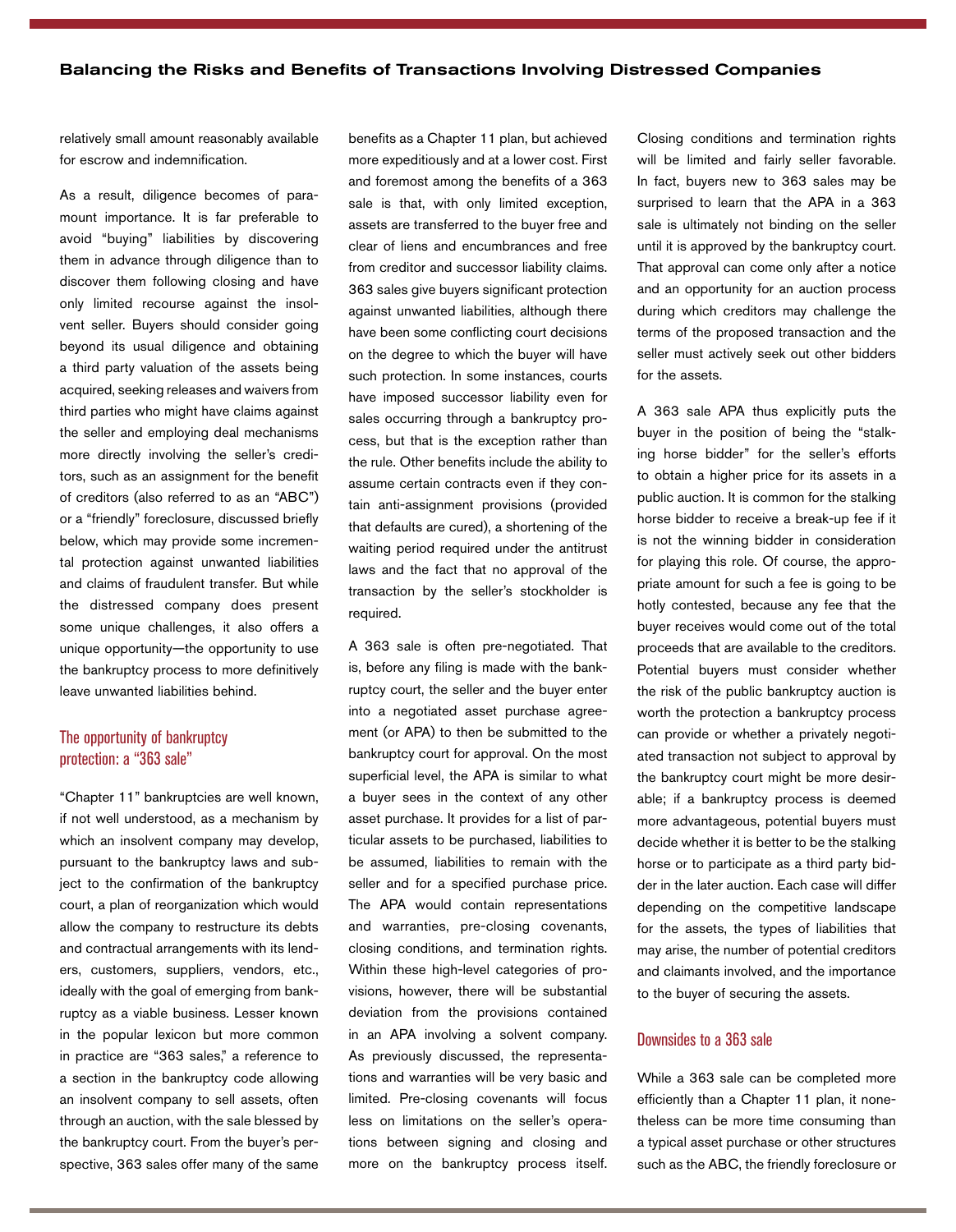relatively small amount reasonably available for escrow and indemnification.

As a result, diligence becomes of paramount importance. It is far preferable to avoid "buying" liabilities by discovering them in advance through diligence than to discover them following closing and have only limited recourse against the insolvent seller. Buyers should consider going beyond its usual diligence and obtaining a third party valuation of the assets being acquired, seeking releases and waivers from third parties who might have claims against the seller and employing deal mechanisms more directly involving the seller's creditors, such as an assignment for the benefit of creditors (also referred to as an "ABC") or a "friendly" foreclosure, discussed briefly below, which may provide some incremental protection against unwanted liabilities and claims of fraudulent transfer. But while the distressed company does present some unique challenges, it also offers a unique opportunity—the opportunity to use the bankruptcy process to more definitively leave unwanted liabilities behind.

## The opportunity of bankruptcy protection: a "363 sale"

"Chapter 11" bankruptcies are well known, if not well understood, as a mechanism by which an insolvent company may develop, pursuant to the bankruptcy laws and subject to the confirmation of the bankruptcy court, a plan of reorganization which would allow the company to restructure its debts and contractual arrangements with its lenders, customers, suppliers, vendors, etc., ideally with the goal of emerging from bankruptcy as a viable business. Lesser known in the popular lexicon but more common in practice are "363 sales," a reference to a section in the bankruptcy code allowing an insolvent company to sell assets, often through an auction, with the sale blessed by the bankruptcy court. From the buyer's perspective, 363 sales offer many of the same

benefits as a Chapter 11 plan, but achieved more expeditiously and at a lower cost. First and foremost among the benefits of a 363 sale is that, with only limited exception, assets are transferred to the buyer free and clear of liens and encumbrances and free from creditor and successor liability claims. 363 sales give buyers significant protection against unwanted liabilities, although there have been some conflicting court decisions on the degree to which the buyer will have such protection. In some instances, courts have imposed successor liability even for sales occurring through a bankruptcy process, but that is the exception rather than the rule. Other benefits include the ability to assume certain contracts even if they contain anti-assignment provisions (provided that defaults are cured), a shortening of the waiting period required under the antitrust laws and the fact that no approval of the transaction by the seller's stockholder is required.

A 363 sale is often pre-negotiated. That is, before any filing is made with the bankruptcy court, the seller and the buyer enter into a negotiated asset purchase agreement (or APA) to then be submitted to the bankruptcy court for approval. On the most superficial level, the APA is similar to what a buyer sees in the context of any other asset purchase. It provides for a list of particular assets to be purchased, liabilities to be assumed, liabilities to remain with the seller and for a specified purchase price. The APA would contain representations and warranties, pre-closing covenants, closing conditions, and termination rights. Within these high-level categories of provisions, however, there will be substantial deviation from the provisions contained in an APA involving a solvent company. As previously discussed, the representations and warranties will be very basic and limited. Pre-closing covenants will focus less on limitations on the seller's operations between signing and closing and more on the bankruptcy process itself. Closing conditions and termination rights will be limited and fairly seller favorable. In fact, buyers new to 363 sales may be surprised to learn that the APA in a 363 sale is ultimately not binding on the seller until it is approved by the bankruptcy court. That approval can come only after a notice and an opportunity for an auction process during which creditors may challenge the terms of the proposed transaction and the seller must actively seek out other bidders for the assets.

A 363 sale APA thus explicitly puts the buyer in the position of being the "stalking horse bidder" for the seller's efforts to obtain a higher price for its assets in a public auction. It is common for the stalking horse bidder to receive a break-up fee if it is not the winning bidder in consideration for playing this role. Of course, the appropriate amount for such a fee is going to be hotly contested, because any fee that the buyer receives would come out of the total proceeds that are available to the creditors. Potential buyers must consider whether the risk of the public bankruptcy auction is worth the protection a bankruptcy process can provide or whether a privately negotiated transaction not subject to approval by the bankruptcy court might be more desirable; if a bankruptcy process is deemed more advantageous, potential buyers must decide whether it is better to be the stalking horse or to participate as a third party bidder in the later auction. Each case will differ depending on the competitive landscape for the assets, the types of liabilities that may arise, the number of potential creditors and claimants involved, and the importance to the buyer of securing the assets.

## Downsides to a 363 sale

While a 363 sale can be completed more efficiently than a Chapter 11 plan, it nonetheless can be more time consuming than a typical asset purchase or other structures such as the ABC, the friendly foreclosure or